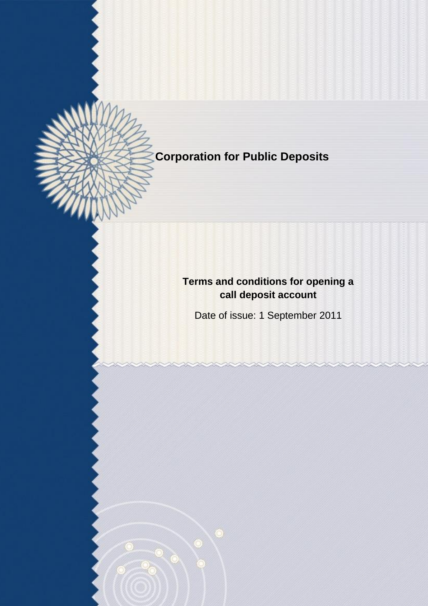**Corporation for Public Deposits**

J

# **Terms and conditions for opening a call deposit account**

Date of issue: 1 September 2011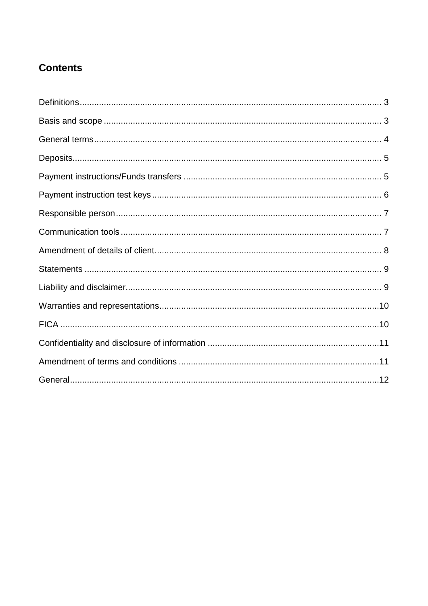## **Contents**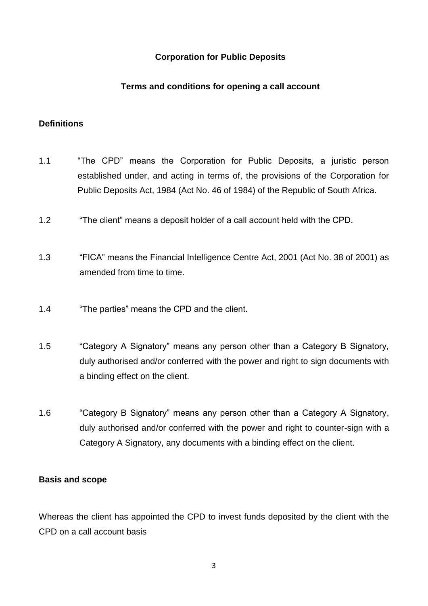## **Corporation for Public Deposits**

#### **Terms and conditions for opening a call account**

## <span id="page-2-0"></span>**Definitions**

- 1.1 "The CPD" means the Corporation for Public Deposits, a juristic person established under, and acting in terms of, the provisions of the Corporation for Public Deposits Act, 1984 (Act No. 46 of 1984) of the Republic of South Africa.
- 1.2 "The client" means a deposit holder of a call account held with the CPD.
- 1.3 "FICA" means the Financial Intelligence Centre Act, 2001 (Act No. 38 of 2001) as amended from time to time.
- 1.4 "The parties" means the CPD and the client.
- 1.5 "Category A Signatory" means any person other than a Category B Signatory, duly authorised and/or conferred with the power and right to sign documents with a binding effect on the client.
- 1.6 "Category B Signatory" means any person other than a Category A Signatory, duly authorised and/or conferred with the power and right to counter-sign with a Category A Signatory, any documents with a binding effect on the client.

#### <span id="page-2-1"></span>**Basis and scope**

Whereas the client has appointed the CPD to invest funds deposited by the client with the CPD on a call account basis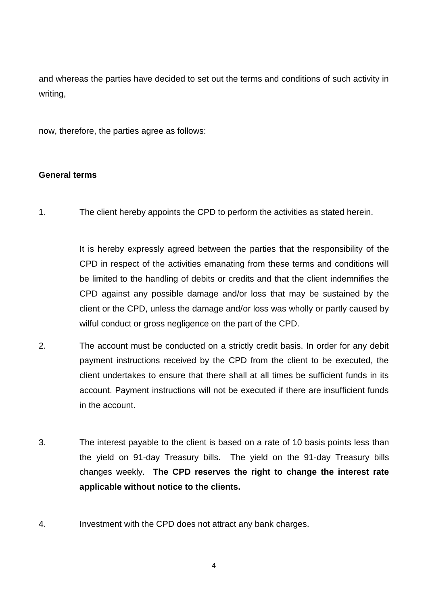and whereas the parties have decided to set out the terms and conditions of such activity in writing,

now, therefore, the parties agree as follows:

#### <span id="page-3-0"></span>**General terms**

1. The client hereby appoints the CPD to perform the activities as stated herein.

It is hereby expressly agreed between the parties that the responsibility of the CPD in respect of the activities emanating from these terms and conditions will be limited to the handling of debits or credits and that the client indemnifies the CPD against any possible damage and/or loss that may be sustained by the client or the CPD, unless the damage and/or loss was wholly or partly caused by wilful conduct or gross negligence on the part of the CPD.

- 2. The account must be conducted on a strictly credit basis. In order for any debit payment instructions received by the CPD from the client to be executed, the client undertakes to ensure that there shall at all times be sufficient funds in its account. Payment instructions will not be executed if there are insufficient funds in the account.
- 3. The interest payable to the client is based on a rate of 10 basis points less than the yield on 91-day Treasury bills. The yield on the 91-day Treasury bills changes weekly. **The CPD reserves the right to change the interest rate applicable without notice to the clients.**
- 4. Investment with the CPD does not attract any bank charges.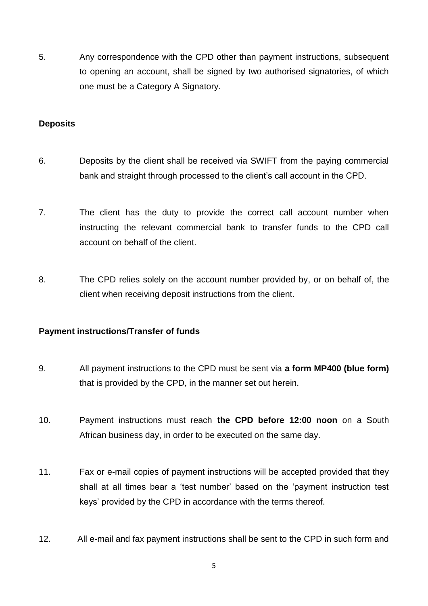5. Any correspondence with the CPD other than payment instructions, subsequent to opening an account, shall be signed by two authorised signatories, of which one must be a Category A Signatory.

#### <span id="page-4-0"></span>**Deposits**

- 6. Deposits by the client shall be received via SWIFT from the paying commercial bank and straight through processed to the client"s call account in the CPD.
- 7. The client has the duty to provide the correct call account number when instructing the relevant commercial bank to transfer funds to the CPD call account on behalf of the client.
- 8. The CPD relies solely on the account number provided by, or on behalf of, the client when receiving deposit instructions from the client.

#### <span id="page-4-1"></span>**Payment instructions/Transfer of funds**

- 9. All payment instructions to the CPD must be sent via **a form MP400 (blue form)** that is provided by the CPD, in the manner set out herein.
- 10. Payment instructions must reach **the CPD before 12:00 noon** on a South African business day, in order to be executed on the same day.
- 11. Fax or e-mail copies of payment instructions will be accepted provided that they shall at all times bear a "test number" based on the "payment instruction test keys" provided by the CPD in accordance with the terms thereof.
- 12. All e-mail and fax payment instructions shall be sent to the CPD in such form and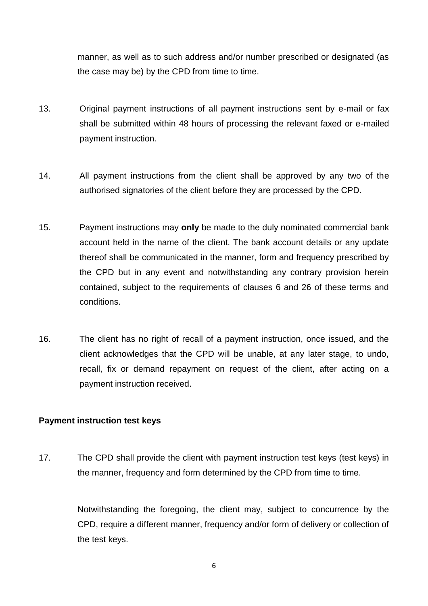manner, as well as to such address and/or number prescribed or designated (as the case may be) by the CPD from time to time.

- 13. Original payment instructions of all payment instructions sent by e-mail or fax shall be submitted within 48 hours of processing the relevant faxed or e-mailed payment instruction.
- 14. All payment instructions from the client shall be approved by any two of the authorised signatories of the client before they are processed by the CPD.
- 15. Payment instructions may **only** be made to the duly nominated commercial bank account held in the name of the client. The bank account details or any update thereof shall be communicated in the manner, form and frequency prescribed by the CPD but in any event and notwithstanding any contrary provision herein contained, subject to the requirements of clauses 6 and 26 of these terms and conditions.
- 16. The client has no right of recall of a payment instruction, once issued, and the client acknowledges that the CPD will be unable, at any later stage, to undo, recall, fix or demand repayment on request of the client, after acting on a payment instruction received.

#### <span id="page-5-0"></span>**Payment instruction test keys**

17. The CPD shall provide the client with payment instruction test keys (test keys) in the manner, frequency and form determined by the CPD from time to time.

> Notwithstanding the foregoing, the client may, subject to concurrence by the CPD, require a different manner, frequency and/or form of delivery or collection of the test keys.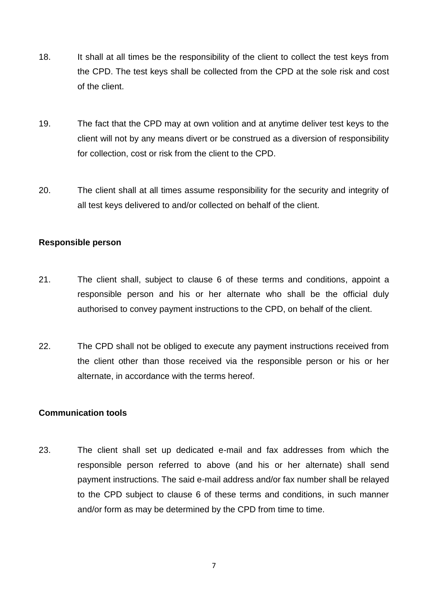- 18. It shall at all times be the responsibility of the client to collect the test keys from the CPD. The test keys shall be collected from the CPD at the sole risk and cost of the client.
- 19. The fact that the CPD may at own volition and at anytime deliver test keys to the client will not by any means divert or be construed as a diversion of responsibility for collection, cost or risk from the client to the CPD.
- 20. The client shall at all times assume responsibility for the security and integrity of all test keys delivered to and/or collected on behalf of the client.

## <span id="page-6-0"></span>**Responsible person**

- 21. The client shall, subject to clause 6 of these terms and conditions, appoint a responsible person and his or her alternate who shall be the official duly authorised to convey payment instructions to the CPD, on behalf of the client.
- 22. The CPD shall not be obliged to execute any payment instructions received from the client other than those received via the responsible person or his or her alternate, in accordance with the terms hereof.

#### <span id="page-6-1"></span>**Communication tools**

23. The client shall set up dedicated e-mail and fax addresses from which the responsible person referred to above (and his or her alternate) shall send payment instructions. The said e-mail address and/or fax number shall be relayed to the CPD subject to clause 6 of these terms and conditions, in such manner and/or form as may be determined by the CPD from time to time.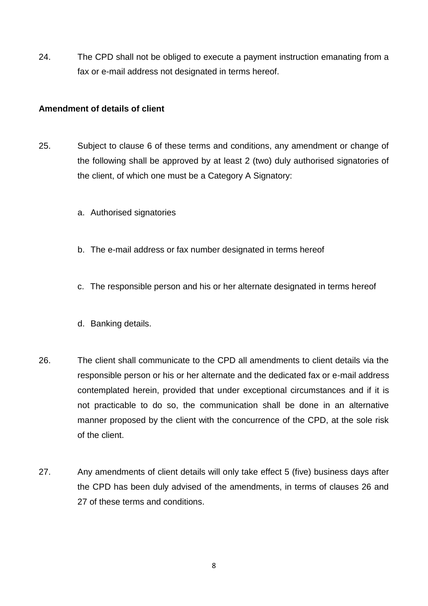24. The CPD shall not be obliged to execute a payment instruction emanating from a fax or e-mail address not designated in terms hereof.

## <span id="page-7-0"></span>**Amendment of details of client**

- 25. Subject to clause 6 of these terms and conditions, any amendment or change of the following shall be approved by at least 2 (two) duly authorised signatories of the client, of which one must be a Category A Signatory:
	- a. Authorised signatories
	- b. The e-mail address or fax number designated in terms hereof
	- c. The responsible person and his or her alternate designated in terms hereof
	- d. Banking details.
- 26. The client shall communicate to the CPD all amendments to client details via the responsible person or his or her alternate and the dedicated fax or e-mail address contemplated herein, provided that under exceptional circumstances and if it is not practicable to do so, the communication shall be done in an alternative manner proposed by the client with the concurrence of the CPD, at the sole risk of the client.
- 27. Any amendments of client details will only take effect 5 (five) business days after the CPD has been duly advised of the amendments, in terms of clauses 26 and 27 of these terms and conditions.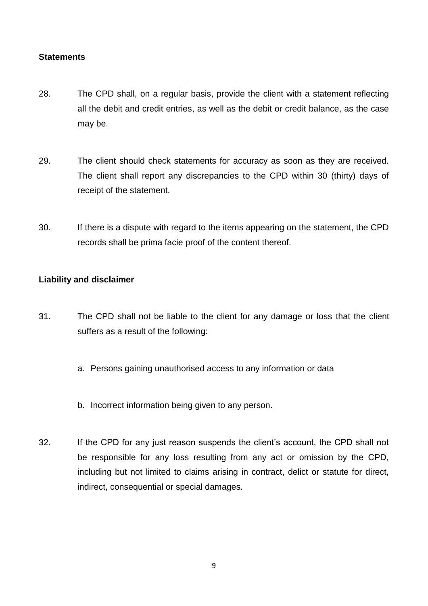#### <span id="page-8-0"></span>**Statements**

- 28. The CPD shall, on a regular basis, provide the client with a statement reflecting all the debit and credit entries, as well as the debit or credit balance, as the case may be.
- 29. The client should check statements for accuracy as soon as they are received. The client shall report any discrepancies to the CPD within 30 (thirty) days of receipt of the statement.
- 30. If there is a dispute with regard to the items appearing on the statement, the CPD records shall be prima facie proof of the content thereof.

## <span id="page-8-1"></span>**Liability and disclaimer**

- 31. The CPD shall not be liable to the client for any damage or loss that the client suffers as a result of the following:
	- a. Persons gaining unauthorised access to any information or data
	- b. Incorrect information being given to any person.
- 32. If the CPD for any just reason suspends the client"s account, the CPD shall not be responsible for any loss resulting from any act or omission by the CPD, including but not limited to claims arising in contract, delict or statute for direct, indirect, consequential or special damages.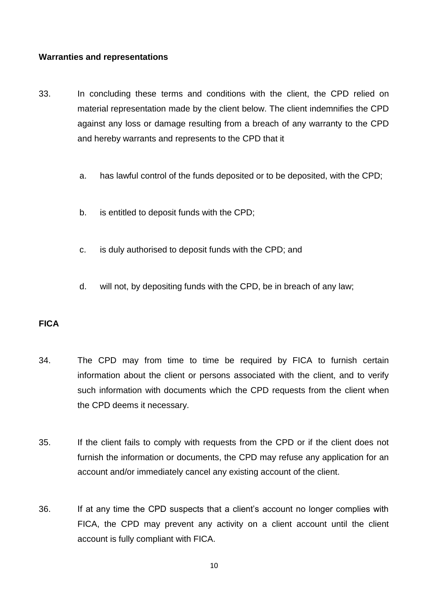#### <span id="page-9-0"></span>**Warranties and representations**

- 33. In concluding these terms and conditions with the client, the CPD relied on material representation made by the client below. The client indemnifies the CPD against any loss or damage resulting from a breach of any warranty to the CPD and hereby warrants and represents to the CPD that it
	- a. has lawful control of the funds deposited or to be deposited, with the CPD;
	- b. is entitled to deposit funds with the CPD;
	- c. is duly authorised to deposit funds with the CPD; and
	- d. will not, by depositing funds with the CPD, be in breach of any law;

## <span id="page-9-1"></span>**FICA**

- 34. The CPD may from time to time be required by FICA to furnish certain information about the client or persons associated with the client, and to verify such information with documents which the CPD requests from the client when the CPD deems it necessary.
- 35. If the client fails to comply with requests from the CPD or if the client does not furnish the information or documents, the CPD may refuse any application for an account and/or immediately cancel any existing account of the client.
- 36. If at any time the CPD suspects that a client"s account no longer complies with FICA, the CPD may prevent any activity on a client account until the client account is fully compliant with FICA.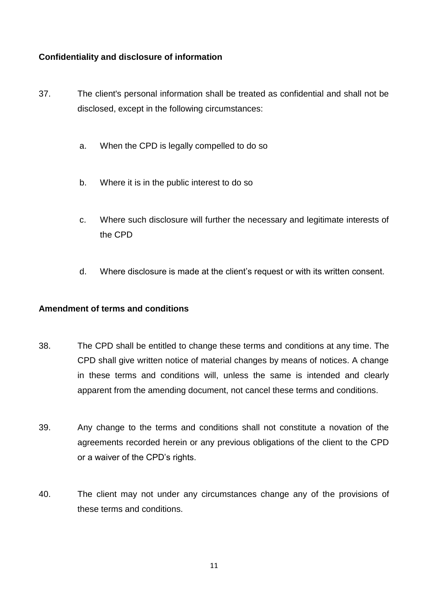## <span id="page-10-0"></span>**Confidentiality and disclosure of information**

- 37. The client's personal information shall be treated as confidential and shall not be disclosed, except in the following circumstances:
	- a. When the CPD is legally compelled to do so
	- b. Where it is in the public interest to do so
	- c. Where such disclosure will further the necessary and legitimate interests of the CPD
	- d. Where disclosure is made at the client"s request or with its written consent.

## <span id="page-10-1"></span>**Amendment of terms and conditions**

- 38. The CPD shall be entitled to change these terms and conditions at any time. The CPD shall give written notice of material changes by means of notices. A change in these terms and conditions will, unless the same is intended and clearly apparent from the amending document, not cancel these terms and conditions.
- 39. Any change to the terms and conditions shall not constitute a novation of the agreements recorded herein or any previous obligations of the client to the CPD or a waiver of the CPD"s rights.
- 40. The client may not under any circumstances change any of the provisions of these terms and conditions.